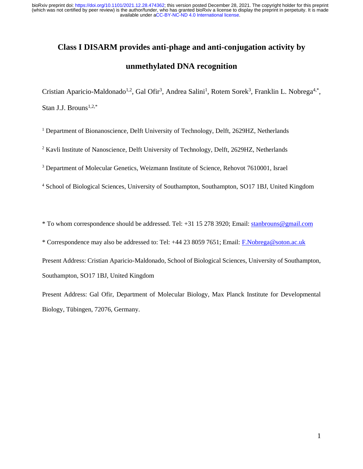# **Class I DISARM provides anti-phage and anti-conjugation activity by**

## **unmethylated DNA recognition**

Cristian Aparicio-Maldonado<sup>1,2</sup>, Gal Ofir<sup>3</sup>, Andrea Salini<sup>1</sup>, Rotem Sorek<sup>3</sup>, Franklin L. Nobrega<sup>4,\*</sup>, Stan J.J. Brouns<sup>1,2,\*</sup>

 $1$  Department of Bionanoscience, Delft University of Technology, Delft, 2629HZ, Netherlands

<sup>2</sup> Kavli Institute of Nanoscience, Delft University of Technology, Delft, 2629HZ, Netherlands

<sup>3</sup> Department of Molecular Genetics, Weizmann Institute of Science, Rehovot 7610001, Israel

<sup>4</sup> School of Biological Sciences, University of Southampton, Southampton, SO17 1BJ, United Kingdom

\* To whom correspondence should be addressed. Tel: +31 15 278 3920; Email: [stanbrouns@gmail.com](mailto:stanbrouns@gmail.com)

\* Correspondence may also be addressed to: Tel: +44 23 8059 7651; Email: [F.Nobrega@soton.ac.uk](mailto:F.Nobrega@soton.ac.uk)

Present Address: Cristian Aparicio-Maldonado, School of Biological Sciences, University of Southampton, Southampton, SO17 1BJ, United Kingdom

Present Address: Gal Ofir, Department of Molecular Biology, Max Planck Institute for Developmental Biology, Tübingen, 72076, Germany.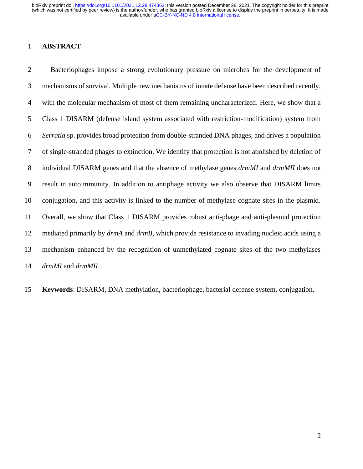#### **ABSTRACT**

 Bacteriophages impose a strong evolutionary pressure on microbes for the development of mechanisms of survival. Multiple new mechanisms of innate defense have been described recently, with the molecular mechanism of most of them remaining uncharacterized. Here, we show that a Class 1 DISARM (defense island system associated with restriction-modification) system from *Serratia* sp. provides broad protection from double-stranded DNA phages, and drives a population of single-stranded phages to extinction. We identify that protection is not abolished by deletion of individual DISARM genes and that the absence of methylase genes *drmMI* and *drmMII* does not result in autoimmunity. In addition to antiphage activity we also observe that DISARM limits conjugation, and this activity is linked to the number of methylase cognate sites in the plasmid. Overall, we show that Class 1 DISARM provides robust anti-phage and anti-plasmid protection mediated primarily by *drmA* and *drmB*, which provide resistance to invading nucleic acids using a mechanism enhanced by the recognition of unmethylated cognate sites of the two methylases *drmMI* and *drmMII*.

**Keywords**: DISARM, DNA methylation, bacteriophage, bacterial defense system, conjugation.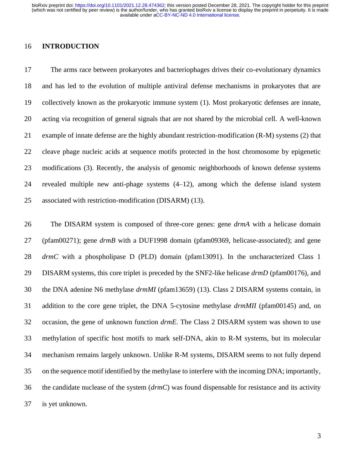#### **INTRODUCTION**

 The arms race between prokaryotes and bacteriophages drives their co-evolutionary dynamics and has led to the evolution of multiple antiviral defense mechanisms in prokaryotes that are collectively known as the prokaryotic immune system (1). Most prokaryotic defenses are innate, acting via recognition of general signals that are not shared by the microbial cell. A well-known example of innate defense are the highly abundant restriction-modification (R-M) systems (2) that cleave phage nucleic acids at sequence motifs protected in the host chromosome by epigenetic modifications (3). Recently, the analysis of genomic neighborhoods of known defense systems revealed multiple new anti-phage systems (4–12), among which the defense island system associated with restriction-modification (DISARM) (13).

 The DISARM system is composed of three-core genes: gene *drmA* with a helicase domain (pfam00271); gene *drmB* with a DUF1998 domain (pfam09369, helicase-associated); and gene *drmC* with a phospholipase D (PLD) domain (pfam13091). In the uncharacterized Class 1 DISARM systems, this core triplet is preceded by the SNF2-like helicase *drmD* (pfam00176), and the DNA adenine N6 methylase *drmMI* (pfam13659) (13). Class 2 DISARM systems contain, in addition to the core gene triplet, the DNA 5-cytosine methylase *drmMII* (pfam00145) and, on occasion, the gene of unknown function *drmE*. The Class 2 DISARM system was shown to use methylation of specific host motifs to mark self-DNA, akin to R-M systems, but its molecular mechanism remains largely unknown. Unlike R-M systems, DISARM seems to not fully depend on the sequence motif identified by the methylase to interfere with the incoming DNA; importantly, the candidate nuclease of the system (*drmC*) was found dispensable for resistance and its activity is yet unknown.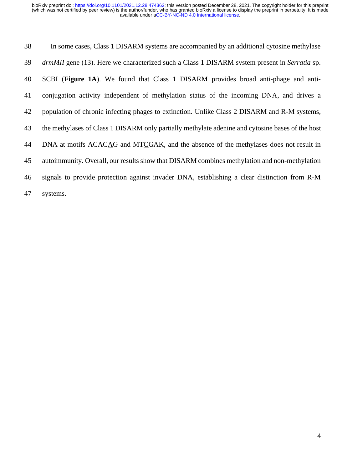| 38 | In some cases, Class 1 DISARM systems are accompanied by an additional cytosine methylase                  |
|----|------------------------------------------------------------------------------------------------------------|
| 39 | <i>drmMII</i> gene (13). Here we characterized such a Class 1 DISARM system present in <i>Serratia</i> sp. |
| 40 | SCBI (Figure 1A). We found that Class 1 DISARM provides broad anti-phage and anti-                         |
| 41 | conjugation activity independent of methylation status of the incoming DNA, and drives a                   |
| 42 | population of chronic infecting phages to extinction. Unlike Class 2 DISARM and R-M systems,               |
| 43 | the methylases of Class 1 DISARM only partially methylate adenine and cytosine bases of the host           |
| 44 | DNA at motifs ACACAG and MTCGAK, and the absence of the methylases does not result in                      |
| 45 | autoimmunity. Overall, our results show that DISARM combines methylation and non-methylation               |
| 46 | signals to provide protection against invader DNA, establishing a clear distinction from R-M               |
| 47 | systems.                                                                                                   |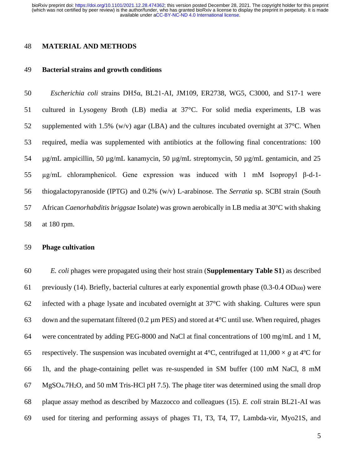#### **MATERIAL AND METHODS**

#### **Bacterial strains and growth conditions**

 *Escherichia coli* strains DH5α, BL21-AI, JM109, ER2738, WG5, C3000, and S17-1 were cultured in Lysogeny Broth (LB) media at 37°C. For solid media experiments, LB was 52 supplemented with 1.5% (w/v) agar (LBA) and the cultures incubated overnight at  $37^{\circ}$ C. When required, media was supplemented with antibiotics at the following final concentrations: 100 µg/mL ampicillin, 50 µg/mL kanamycin, 50 µg/mL streptomycin, 50 µg/mL gentamicin, and 25 µg/mL chloramphenicol. Gene expression was induced with 1 mM Isopropyl β-d-1- thiogalactopyranoside (IPTG) and 0.2% (w/v) L-arabinose. The *Serratia* sp. SCBI strain (South African *Caenorhabditis briggsae* Isolate) was grown aerobically in LB media at 30°C with shaking at 180 rpm.

#### **Phage cultivation**

 *E. coli* phages were propagated using their host strain (**Supplementary Table S1**) as described 61 previously (14). Briefly, bacterial cultures at early exponential growth phase (0.3-0.4  $OD_{600}$ ) were 62 infected with a phage lysate and incubated overnight at  $37^{\circ}$ C with shaking. Cultures were spun 63 down and the supernatant filtered (0.2  $\mu$ m PES) and stored at 4<sup>o</sup>C until use. When required, phages were concentrated by adding PEG-8000 and NaCl at final concentrations of 100 mg/mL and 1 M, 65 respectively. The suspension was incubated overnight at  $4^{\circ}$ C, centrifuged at  $11,000 \times g$  at  $4^{\circ}$ C for 1h, and the phage-containing pellet was re-suspended in SM buffer (100 mM NaCl, 8 mM MgSO4.7H2O, and 50 mM Tris-HCl pH 7.5). The phage titer was determined using the small drop plaque assay method as described by Mazzocco and colleagues (15). *E. coli* strain BL21-AI was used for titering and performing assays of phages T1, T3, T4, T7, Lambda-vir, Myo21S, and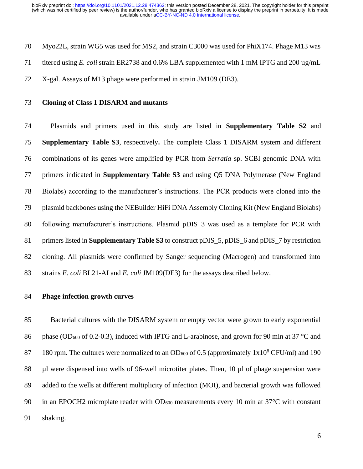Myo22L, strain WG5 was used for MS2, and strain C3000 was used for PhiX174. Phage M13 was titered using *E. coli* strain ER2738 and 0.6% LBA supplemented with 1 mM IPTG and 200 µg/mL

- X-gal. Assays of M13 phage were performed in strain JM109 (DE3).
- **Cloning of Class 1 DISARM and mutants**

 Plasmids and primers used in this study are listed in **Supplementary Table S2** and **Supplementary Table S3**, respectively**.** The complete Class 1 DISARM system and different combinations of its genes were amplified by PCR from *Serratia* sp. SCBI genomic DNA with primers indicated in **Supplementary Table S3** and using Q5 DNA Polymerase (New England Biolabs) according to the manufacturer's instructions. The PCR products were cloned into the plasmid backbones using the NEBuilder HiFi DNA Assembly Cloning Kit (New England Biolabs) following manufacturer's instructions. Plasmid pDIS\_3 was used as a template for PCR with primers listed in **Supplementary Table S3** to construct pDIS\_5, pDIS\_6 and pDIS\_7 by restriction cloning. All plasmids were confirmed by Sanger sequencing (Macrogen) and transformed into strains *E. coli* BL21-AI and *E. coli* JM109(DE3) for the assays described below.

#### **Phage infection growth curves**

 Bacterial cultures with the DISARM system or empty vector were grown to early exponential 86 phase (OD<sub>600</sub> of 0.2-0.3), induced with IPTG and L-arabinose, and grown for 90 min at 37 °C and 87 180 rpm. The cultures were normalized to an OD<sub>600</sub> of 0.5 (approximately  $1x10^8$  CFU/ml) and 190 88 µl were dispensed into wells of 96-well microtiter plates. Then, 10 µl of phage suspension were added to the wells at different multiplicity of infection (MOI), and bacterial growth was followed 90 in an EPOCH2 microplate reader with  $OD_{600}$  measurements every 10 min at 37 $\degree$ C with constant shaking.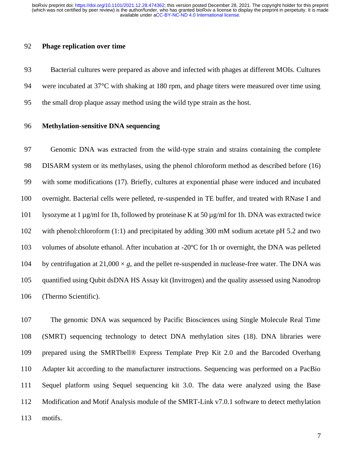#### **Phage replication over time**

 Bacterial cultures were prepared as above and infected with phages at different MOIs. Cultures were incubated at 37°C with shaking at 180 rpm, and phage titers were measured over time using the small drop plaque assay method using the wild type strain as the host.

#### **Methylation-sensitive DNA sequencing**

 Genomic DNA was extracted from the wild-type strain and strains containing the complete DISARM system or its methylases, using the phenol chloroform method as described before (16) with some modifications (17). Briefly, cultures at exponential phase were induced and incubated overnight. Bacterial cells were pelleted, re-suspended in TE buffer, and treated with RNase I and lysozyme at 1 µg/ml for 1h, followed by proteinase K at 50 µg/ml for 1h. DNA was extracted twice with phenol:chloroform (1:1) and precipitated by adding 300 mM sodium acetate pH 5.2 and two volumes of absolute ethanol. After incubation at -20ºC for 1h or overnight, the DNA was pelleted 104 by centrifugation at  $21,000 \times g$ , and the pellet re-suspended in nuclease-free water. The DNA was quantified using Qubit dsDNA HS Assay kit (Invitrogen) and the quality assessed using Nanodrop (Thermo Scientific).

 The genomic DNA was sequenced by Pacific Biosciences using Single Molecule Real Time (SMRT) sequencing technology to detect DNA methylation sites (18). DNA libraries were prepared using the SMRTbell® Express Template Prep Kit 2.0 and the Barcoded Overhang Adapter kit according to the manufacturer instructions. Sequencing was performed on a PacBio Sequel platform using Sequel sequencing kit 3.0. The data were analyzed using the Base Modification and Motif Analysis module of the SMRT-Link v7.0.1 software to detect methylation motifs.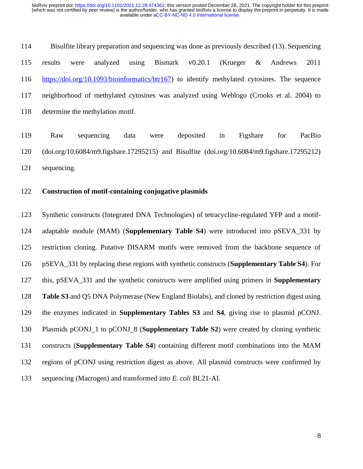Bisulfite library preparation and sequencing was done as previously described (13). Sequencing results were analyzed using Bismark v0.20.1 (Krueger & Andrews 2011 [https://doi.org/10.1093/bioinformatics/btr167\)](https://doi.org/10.1093/bioinformatics/btr167) to identify methylated cytosines. The sequence neighborhood of methylated cytosines was analyzed using Weblogo (Crooks et al. 2004) to determine the methylation motif.

 Raw sequencing data were deposited in Figshare for PacBio (doi.org/10.6084/m9.figshare.17295215) and Bisulfite (doi.org/10.6084/m9.figshare.17295212) sequencing.

#### **Construction of motif-containing conjugative plasmids**

 Synthetic constructs (Integrated DNA Technologies) of tetracycline-regulated YFP and a motif- adaptable module (MAM) (**Supplementary Table S4**) were introduced into pSEVA\_331 by restriction cloning. Putative DISARM motifs were removed from the backbone sequence of pSEVA\_331 by replacing these regions with synthetic constructs (**Supplementary Table S4**). For this, pSEVA\_331 and the synthetic constructs were amplified using primers in **Supplementary Table S3** and Q5 DNA Polymerase (New England Biolabs), and cloned by restriction digest using the enzymes indicated in **Supplementary Tables S3** and **S4**, giving rise to plasmid pCONJ. Plasmids pCONJ\_1 to pCONJ\_8 (**Supplementary Table S2**) were created by cloning synthetic constructs (**Supplementary Table S4**) containing different motif combinations into the MAM regions of pCONJ using restriction digest as above. All plasmid constructs were confirmed by sequencing (Macrogen) and transformed into *E. coli* BL21-AI.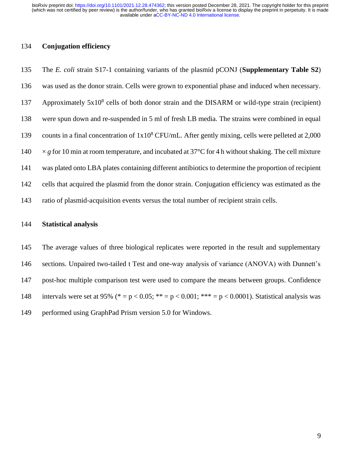#### **Conjugation efficiency**

 The *E. coli* strain S17-1 containing variants of the plasmid pCONJ (**Supplementary Table S2**) was used as the donor strain. Cells were grown to exponential phase and induced when necessary. 137 Approximately  $5x10^8$  cells of both donor strain and the DISARM or wild-type strain (recipient) were spun down and re-suspended in 5 ml of fresh LB media. The strains were combined in equal 139 counts in a final concentration of  $1x10<sup>8</sup> CFU/mL$ . After gently mixing, cells were pelleted at 2,000  $\times$  *g* for 10 min at room temperature, and incubated at 37°C for 4 h without shaking. The cell mixture was plated onto LBA plates containing different antibiotics to determine the proportion of recipient cells that acquired the plasmid from the donor strain. Conjugation efficiency was estimated as the ratio of plasmid-acquisition events versus the total number of recipient strain cells.

#### **Statistical analysis**

 The average values of three biological replicates were reported in the result and supplementary sections. Unpaired two-tailed t Test and one-way analysis of variance (ANOVA) with Dunnett's post-hoc multiple comparison test were used to compare the means between groups. Confidence 148 intervals were set at 95% (\* = p < 0.05; \*\* = p < 0.001; \*\*\* = p < 0.0001). Statistical analysis was performed using GraphPad Prism version 5.0 for Windows.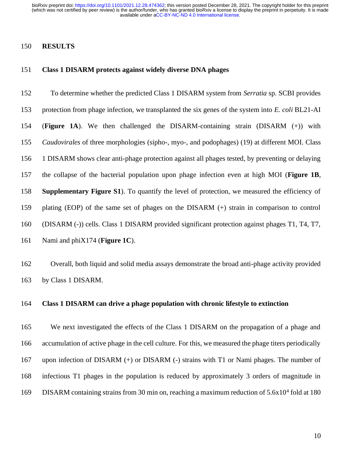#### **RESULTS**

#### **Class 1 DISARM protects against widely diverse DNA phages**

 To determine whether the predicted Class 1 DISARM system from *Serratia* sp. SCBI provides protection from phage infection, we transplanted the six genes of the system into *E. coli* BL21-AI (**Figure 1A**). We then challenged the DISARM-containing strain (DISARM (+)) with *Caudovirales* of three morphologies (sipho-, myo-, and podophages) (19) at different MOI. Class 1 DISARM shows clear anti-phage protection against all phages tested, by preventing or delaying the collapse of the bacterial population upon phage infection even at high MOI (**Figure 1B**, **Supplementary Figure S1**). To quantify the level of protection, we measured the efficiency of plating (EOP) of the same set of phages on the DISARM (+) strain in comparison to control (DISARM (-)) cells. Class 1 DISARM provided significant protection against phages T1, T4, T7, Nami and phiX174 (**Figure 1C**).

 Overall, both liquid and solid media assays demonstrate the broad anti-phage activity provided by Class 1 DISARM.

#### **Class 1 DISARM can drive a phage population with chronic lifestyle to extinction**

 We next investigated the effects of the Class 1 DISARM on the propagation of a phage and accumulation of active phage in the cell culture. For this, we measured the phage titers periodically upon infection of DISARM (+) or DISARM (-) strains with T1 or Nami phages. The number of infectious T1 phages in the population is reduced by approximately 3 orders of magnitude in 169 DISARM containing strains from 30 min on, reaching a maximum reduction of  $5.6x10^4$  fold at 180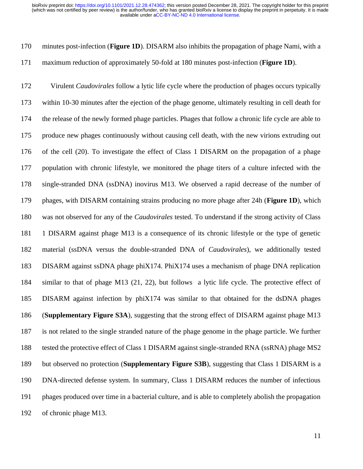minutes post-infection (**Figure 1D**). DISARM also inhibits the propagation of phage Nami, with a maximum reduction of approximately 50-fold at 180 minutes post-infection (**Figure 1D**).

 Virulent *Caudovirales* follow a lytic life cycle where the production of phages occurs typically within 10-30 minutes after the ejection of the phage genome, ultimately resulting in cell death for the release of the newly formed phage particles. Phages that follow a chronic life cycle are able to produce new phages continuously without causing cell death, with the new virions extruding out of the cell (20). To investigate the effect of Class 1 DISARM on the propagation of a phage population with chronic lifestyle, we monitored the phage titers of a culture infected with the single-stranded DNA (ssDNA) inovirus M13. We observed a rapid decrease of the number of phages, with DISARM containing strains producing no more phage after 24h (**Figure 1D**), which was not observed for any of the *Caudovirales* tested. To understand if the strong activity of Class 1 DISARM against phage M13 is a consequence of its chronic lifestyle or the type of genetic material (ssDNA versus the double-stranded DNA of *Caudovirales*), we additionally tested DISARM against ssDNA phage phiX174. PhiX174 uses a mechanism of phage DNA replication similar to that of phage M13 (21, 22), but follows a lytic life cycle. The protective effect of DISARM against infection by phiX174 was similar to that obtained for the dsDNA phages (**Supplementary Figure S3A**), suggesting that the strong effect of DISARM against phage M13 is not related to the single stranded nature of the phage genome in the phage particle. We further tested the protective effect of Class 1 DISARM against single-stranded RNA (ssRNA) phage MS2 but observed no protection (**Supplementary Figure S3B**), suggesting that Class 1 DISARM is a DNA-directed defense system. In summary, Class 1 DISARM reduces the number of infectious phages produced over time in a bacterial culture, and is able to completely abolish the propagation of chronic phage M13.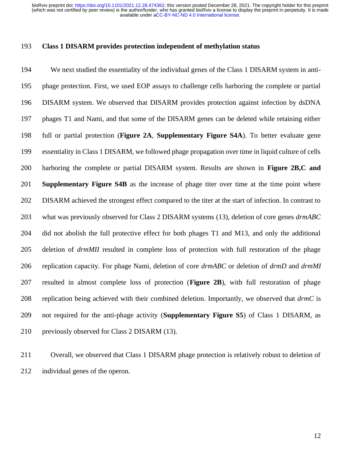#### **Class 1 DISARM provides protection independent of methylation status**

 We next studied the essentiality of the individual genes of the Class 1 DISARM system in anti- phage protection. First, we used EOP assays to challenge cells harboring the complete or partial DISARM system. We observed that DISARM provides protection against infection by dsDNA phages T1 and Nami, and that some of the DISARM genes can be deleted while retaining either full or partial protection (**Figure 2A**, **Supplementary Figure S4A**). To better evaluate gene essentiality in Class 1 DISARM, we followed phage propagation over time in liquid culture of cells harboring the complete or partial DISARM system. Results are shown in **Figure 2B,C and Supplementary Figure S4B** as the increase of phage titer over time at the time point where DISARM achieved the strongest effect compared to the titer at the start of infection. In contrast to what was previously observed for Class 2 DISARM systems (13), deletion of core genes *drmABC*  did not abolish the full protective effect for both phages T1 and M13, and only the additional deletion of *drmMII* resulted in complete loss of protection with full restoration of the phage replication capacity. For phage Nami, deletion of core *drmABC* or deletion of *drmD* and *drmMI*  resulted in almost complete loss of protection (**Figure 2B**), with full restoration of phage replication being achieved with their combined deletion. Importantly, we observed that *drmC* is not required for the anti-phage activity (**Supplementary Figure S5**) of Class 1 DISARM, as previously observed for Class 2 DISARM (13).

 Overall, we observed that Class 1 DISARM phage protection is relatively robust to deletion of individual genes of the operon.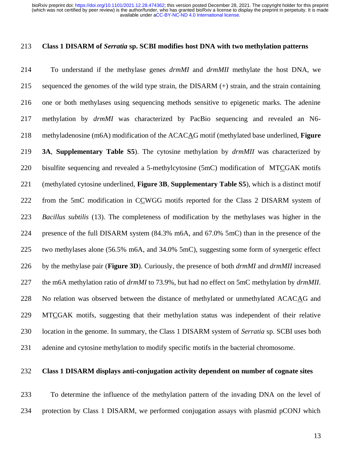#### **Class 1 DISARM of** *Serratia* **sp. SCBI modifies host DNA with two methylation patterns**

 To understand if the methylase genes *drmMI* and *drmMII* methylate the host DNA, we sequenced the genomes of the wild type strain, the DISARM (+) strain, and the strain containing one or both methylases using sequencing methods sensitive to epigenetic marks. The adenine methylation by *drmMI* was characterized by PacBio sequencing and revealed an N6- methyladenosine (m6A) modification of the ACACAG motif (methylated base underlined, **Figure 3A**, **Supplementary Table S5**). The cytosine methylation by *drmMII* was characterized by bisulfite sequencing and revealed a 5-methylcytosine (5mC) modification of MTCGAK motifs (methylated cytosine underlined, **Figure 3B**, **Supplementary Table S5**), which is a distinct motif from the 5mC modification in CCWGG motifs reported for the Class 2 DISARM system of *Bacillus subtilis* (13). The completeness of modification by the methylases was higher in the presence of the full DISARM system (84.3% m6A, and 67.0% 5mC) than in the presence of the two methylases alone (56.5% m6A, and 34.0% 5mC), suggesting some form of synergetic effect by the methylase pair (**Figure 3D**). Curiously, the presence of both *drmMI* and *drmMII* increased the m6A methylation ratio of *drmMI* to 73.9%, but had no effect on 5mC methylation by *drmMII*. No relation was observed between the distance of methylated or unmethylated ACACAG and MTCGAK motifs, suggesting that their methylation status was independent of their relative location in the genome. In summary, the Class 1 DISARM system of *Serratia* sp. SCBI uses both adenine and cytosine methylation to modify specific motifs in the bacterial chromosome.

### **Class 1 DISARM displays anti-conjugation activity dependent on number of cognate sites**

 To determine the influence of the methylation pattern of the invading DNA on the level of protection by Class 1 DISARM, we performed conjugation assays with plasmid pCONJ which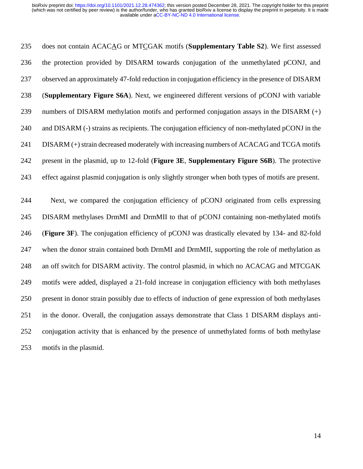does not contain ACACAG or MTCGAK motifs (**Supplementary Table S2**). We first assessed the protection provided by DISARM towards conjugation of the unmethylated pCONJ, and observed an approximately 47-fold reduction in conjugation efficiency in the presence of DISARM (**Supplementary Figure S6A**). Next, we engineered different versions of pCONJ with variable numbers of DISARM methylation motifs and performed conjugation assays in the DISARM (+) and DISARM (-) strains as recipients. The conjugation efficiency of non-methylated pCONJ in the DISARM (+) strain decreased moderately with increasing numbers of ACACAG and TCGA motifs present in the plasmid, up to 12-fold (**Figure 3E**, **Supplementary Figure S6B**). The protective effect against plasmid conjugation is only slightly stronger when both types of motifs are present.

 Next, we compared the conjugation efficiency of pCONJ originated from cells expressing DISARM methylases DrmMI and DrmMII to that of pCONJ containing non-methylated motifs (**Figure 3F**). The conjugation efficiency of pCONJ was drastically elevated by 134- and 82-fold when the donor strain contained both DrmMI and DrmMII, supporting the role of methylation as an off switch for DISARM activity. The control plasmid, in which no ACACAG and MTCGAK motifs were added, displayed a 21-fold increase in conjugation efficiency with both methylases present in donor strain possibly due to effects of induction of gene expression of both methylases in the donor. Overall, the conjugation assays demonstrate that Class 1 DISARM displays anti- conjugation activity that is enhanced by the presence of unmethylated forms of both methylase motifs in the plasmid.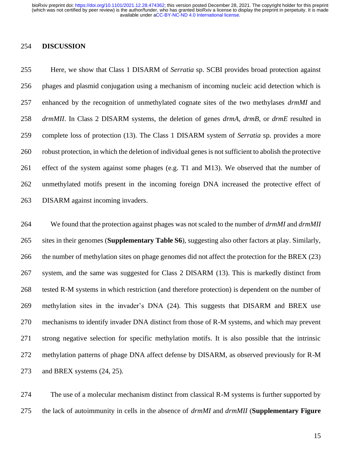#### **DISCUSSION**

 Here, we show that Class 1 DISARM of *Serratia* sp. SCBI provides broad protection against phages and plasmid conjugation using a mechanism of incoming nucleic acid detection which is enhanced by the recognition of unmethylated cognate sites of the two methylases *drmMI* and *drmMII*. In Class 2 DISARM systems, the deletion of genes *drmA*, *drmB*, or *drmE* resulted in complete loss of protection (13). The Class 1 DISARM system of *Serratia* sp. provides a more robust protection, in which the deletion of individual genes is not sufficient to abolish the protective effect of the system against some phages (e.g. T1 and M13). We observed that the number of unmethylated motifs present in the incoming foreign DNA increased the protective effect of DISARM against incoming invaders.

 We found that the protection against phages was not scaled to the number of *drmMI* and *drmMII* sites in their genomes (**Supplementary Table S6**), suggesting also other factors at play. Similarly, the number of methylation sites on phage genomes did not affect the protection for the BREX (23) system, and the same was suggested for Class 2 DISARM (13). This is markedly distinct from tested R-M systems in which restriction (and therefore protection) is dependent on the number of methylation sites in the invader's DNA (24). This suggests that DISARM and BREX use mechanisms to identify invader DNA distinct from those of R-M systems, and which may prevent strong negative selection for specific methylation motifs. It is also possible that the intrinsic methylation patterns of phage DNA affect defense by DISARM, as observed previously for R-M and BREX systems (24, 25).

 The use of a molecular mechanism distinct from classical R-M systems is further supported by the lack of autoimmunity in cells in the absence of *drmMI* and *drmMII* (**Supplementary Figure**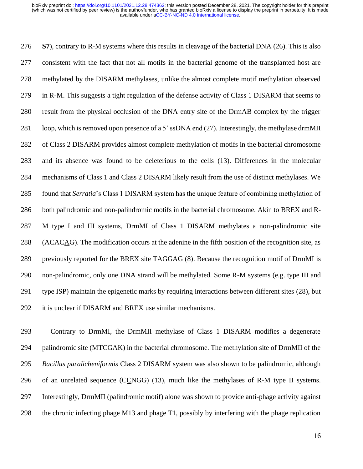**S7**), contrary to R-M systems where this results in cleavage of the bacterial DNA (26). This is also consistent with the fact that not all motifs in the bacterial genome of the transplanted host are methylated by the DISARM methylases, unlike the almost complete motif methylation observed in R-M. This suggests a tight regulation of the defense activity of Class 1 DISARM that seems to result from the physical occlusion of the DNA entry site of the DrmAB complex by the trigger loop, which is removed upon presence of a 5' ssDNA end (27). Interestingly, the methylase drmMII of Class 2 DISARM provides almost complete methylation of motifs in the bacterial chromosome and its absence was found to be deleterious to the cells (13). Differences in the molecular mechanisms of Class 1 and Class 2 DISARM likely result from the use of distinct methylases. We found that *Serratia*'s Class 1 DISARM system has the unique feature of combining methylation of both palindromic and non-palindromic motifs in the bacterial chromosome. Akin to BREX and R- M type I and III systems, DrmMI of Class 1 DISARM methylates a non-palindromic site (ACACAG). The modification occurs at the adenine in the fifth position of the recognition site, as previously reported for the BREX site TAGGAG (8). Because the recognition motif of DrmMI is non-palindromic, only one DNA strand will be methylated. Some R-M systems (e.g. type III and type ISP) maintain the epigenetic marks by requiring interactions between different sites (28), but it is unclear if DISARM and BREX use similar mechanisms.

 Contrary to DrmMI, the DrmMII methylase of Class 1 DISARM modifies a degenerate palindromic site (MTCGAK) in the bacterial chromosome. The methylation site of DrmMII of the *Bacillus paralicheniformis* Class 2 DISARM system was also shown to be palindromic, although 296 of an unrelated sequence  $(CCNGG)$  (13), much like the methylases of R-M type II systems. Interestingly, DrmMII (palindromic motif) alone was shown to provide anti-phage activity against the chronic infecting phage M13 and phage T1, possibly by interfering with the phage replication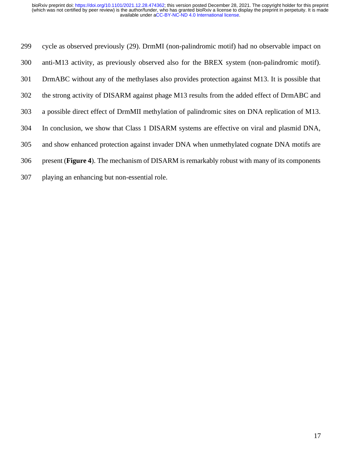cycle as observed previously (29). DrmMI (non-palindromic motif) had no observable impact on anti-M13 activity, as previously observed also for the BREX system (non-palindromic motif). DrmABC without any of the methylases also provides protection against M13. It is possible that the strong activity of DISARM against phage M13 results from the added effect of DrmABC and a possible direct effect of DrmMII methylation of palindromic sites on DNA replication of M13. In conclusion, we show that Class 1 DISARM systems are effective on viral and plasmid DNA, and show enhanced protection against invader DNA when unmethylated cognate DNA motifs are present (**Figure 4**). The mechanism of DISARM is remarkably robust with many of its components playing an enhancing but non-essential role.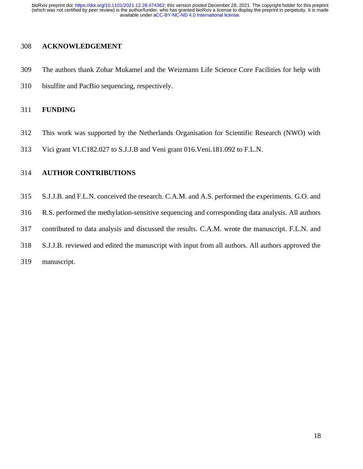#### **ACKNOWLEDGEMENT**

- The authors thank Zohar Mukamel and the Weizmann Life Science Core Facilities for help with
- bisulfite and PacBio sequencing, respectively.

#### **FUNDING**

- This work was supported by the Netherlands Organisation for Scientific Research (NWO) with
- Vici grant VI.C182.027 to S.J.J.B and Veni grant 016.Veni.181.092 to F.L.N.

#### **AUTHOR CONTRIBUTIONS**

 S.J.J.B. and F.L.N. conceived the research. C.A.M. and A.S. performed the experiments. G.O. and R.S. performed the methylation-sensitive sequencing and corresponding data analysis. All authors contributed to data analysis and discussed the results. C.A.M. wrote the manuscript. F.L.N. and S.J.J.B. reviewed and edited the manuscript with input from all authors. All authors approved the manuscript.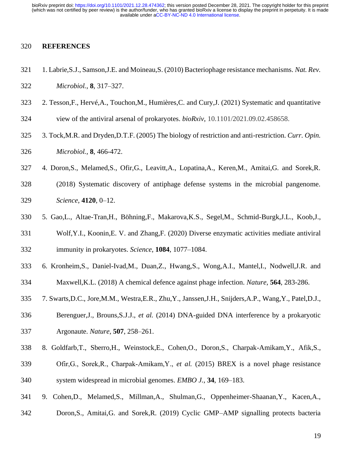#### **REFERENCES**

- 1. Labrie,S.J., Samson,J.E. and Moineau,S. (2010) Bacteriophage resistance mechanisms. *Nat. Rev. Microbiol.*, **8**, 317–327.
- 2. Tesson,F., Hervé,A., Touchon,M., Humières,C. and Cury,J. (2021) Systematic and quantitative
- view of the antiviral arsenal of prokaryotes. *bioRxiv*, 10.1101/2021.09.02.458658.
- 3. Tock,M.R. and Dryden,D.T.F. (2005) The biology of restriction and anti-restriction. *Curr. Opin. Microbiol.*, **8**, 466-472.
- 4. Doron,S., Melamed,S., Ofir,G., Leavitt,A., Lopatina,A., Keren,M., Amitai,G. and Sorek,R.
- (2018) Systematic discovery of antiphage defense systems in the microbial pangenome. *Science*, **4120**, 0–12.
- 5. Gao,L., Altae-Tran,H., Böhning,F., Makarova,K.S., Segel,M., Schmid-Burgk,J.L., Koob,J.,
- Wolf,Y.I., Koonin,E. V. and Zhang,F. (2020) Diverse enzymatic activities mediate antiviral immunity in prokaryotes. *Science*, **1084**, 1077–1084.
- 6. Kronheim,S., Daniel-Ivad,M., Duan,Z., Hwang,S., Wong,A.I., Mantel,I., Nodwell,J.R. and
- Maxwell,K.L. (2018) A chemical defence against phage infection. *Nature*, **564**, 283-286.
- 7. Swarts,D.C., Jore,M.M., Westra,E.R., Zhu,Y., Janssen,J.H., Snijders,A.P., Wang,Y., Patel,D.J.,
- Berenguer,J., Brouns,S.J.J., *et al.* (2014) DNA-guided DNA interference by a prokaryotic Argonaute. *Nature*, **507**, 258–261.
- 8. Goldfarb,T., Sberro,H., Weinstock,E., Cohen,O., Doron,S., Charpak-Amikam,Y., Afik,S.,
- Ofir,G., Sorek,R., Charpak‐Amikam,Y., *et al.* (2015) BREX is a novel phage resistance system widespread in microbial genomes. *EMBO J.*, **34**, 169–183.
- 9. Cohen,D., Melamed,S., Millman,A., Shulman,G., Oppenheimer-Shaanan,Y., Kacen,A.,
- Doron,S., Amitai,G. and Sorek,R. (2019) Cyclic GMP–AMP signalling protects bacteria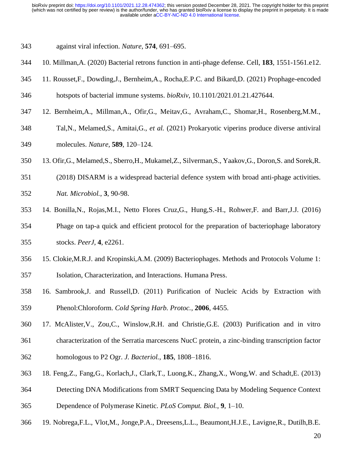- against viral infection. *Nature*, **574**, 691–695.
- 10. Millman,A. (2020) Bacterial retrons function in anti-phage defense. Cell, **183**, 1551-1561.e12.
- 11. Rousset,F., Dowding,J., Bernheim,A., Rocha,E.P.C. and Bikard,D. (2021) Prophage-encoded
- hotspots of bacterial immune systems. *bioRxiv*, 10.1101/2021.01.21.427644.
- 12. Bernheim,A., Millman,A., Ofir,G., Meitav,G., Avraham,C., Shomar,H., Rosenberg,M.M.,
- Tal,N., Melamed,S., Amitai,G., *et al.* (2021) Prokaryotic viperins produce diverse antiviral molecules. *Nature*, **589**, 120–124.
- 13. Ofir,G., Melamed,S., Sberro,H., Mukamel,Z., Silverman,S., Yaakov,G., Doron,S. and Sorek,R.
- (2018) DISARM is a widespread bacterial defence system with broad anti-phage activities.
- *Nat. Microbiol.*, **3**, 90-98.
- 14. Bonilla,N., Rojas,M.I., Netto Flores Cruz,G., Hung,S.-H., Rohwer,F. and Barr,J.J. (2016) Phage on tap-a quick and efficient protocol for the preparation of bacteriophage laboratory stocks. *PeerJ*, **4**, e2261.
- 15. Clokie,M.R.J. and Kropinski,A.M. (2009) Bacteriophages. Methods and Protocols Volume 1: Isolation, Characterization, and Interactions. Humana Press.
- 16. Sambrook,J. and Russell,D. (2011) Purification of Nucleic Acids by Extraction with Phenol:Chloroform. *Cold Spring Harb. Protoc.*, **2006**, 4455.
- 17. McAlister,V., Zou,C., Winslow,R.H. and Christie,G.E. (2003) Purification and in vitro characterization of the Serratia marcescens NucC protein, a zinc-binding transcription factor homologous to P2 Ogr. *J. Bacteriol.*, **185**, 1808–1816.
- 18. Feng,Z., Fang,G., Korlach,J., Clark,T., Luong,K., Zhang,X., Wong,W. and Schadt,E. (2013)
- Detecting DNA Modifications from SMRT Sequencing Data by Modeling Sequence Context Dependence of Polymerase Kinetic. *PLoS Comput. Biol.*, **9**, 1–10.
- 19. Nobrega,F.L., Vlot,M., Jonge,P.A., Dreesens,L.L., Beaumont,H.J.E., Lavigne,R., Dutilh,B.E.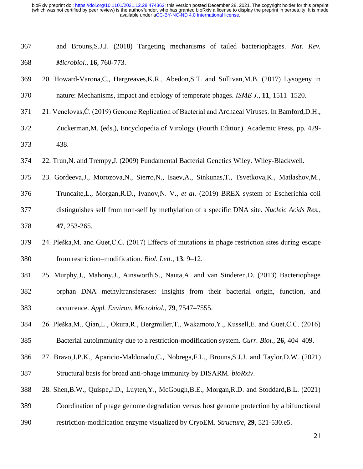| 367 | and Brouns, S.J.J. (2018) Targeting mechanisms of tailed bacteriophages. Nat. Rev.                   |
|-----|------------------------------------------------------------------------------------------------------|
| 368 | Microbiol., 16, 760-773.                                                                             |
| 369 | 20. Howard-Varona, C., Hargreaves, K.R., Abedon, S.T. and Sullivan, M.B. (2017) Lysogeny in          |
| 370 | nature: Mechanisms, impact and ecology of temperate phages. ISME J., 11, 1511-1520.                  |
| 371 | 21. Venclovas, Č. (2019) Genome Replication of Bacterial and Archaeal Viruses. In Bamford, D.H.,     |
| 372 | Zuckerman, M. (eds.), Encyclopedia of Virology (Fourth Edition). Academic Press, pp. 429-            |
| 373 | 438.                                                                                                 |
| 374 | 22. Trun, N. and Trempy, J. (2009) Fundamental Bacterial Genetics Wiley. Wiley-Blackwell.            |
| 375 | 23. Gordeeva, J., Morozova, N., Sierro, N., Isaev, A., Sinkunas, T., Tsvetkova, K., Matlashov, M.,   |
| 376 | Truncaite, L., Morgan, R.D., Ivanov, N. V., et al. (2019) BREX system of Escherichia coli            |
| 377 | distinguishes self from non-self by methylation of a specific DNA site. Nucleic Acids Res.,          |
| 378 | 47, 253-265.                                                                                         |
| 379 | 24. Pleška, M. and Guet, C.C. (2017) Effects of mutations in phage restriction sites during escape   |
| 380 | from restriction–modification. <i>Biol. Lett.</i> , 13, 9–12.                                        |
| 381 | 25. Murphy, J., Mahony, J., Ainsworth, S., Nauta, A. and van Sinderen, D. (2013) Bacteriophage       |
| 382 | orphan DNA methyltransferases: Insights from their bacterial origin, function, and                   |
| 383 | occurrence. Appl. Environ. Microbiol., 79, 7547-7555.                                                |
| 384 | 26. Pleška, M., Qian, L., Okura, R., Bergmiller, T., Wakamoto, Y., Kussell, E. and Guet, C.C. (2016) |
| 385 | Bacterial autoimmunity due to a restriction-modification system. Curr. Biol., 26, 404–409.           |
| 386 | 27. Bravo, J.P.K., Aparicio-Maldonado, C., Nobrega, F.L., Brouns, S.J.J. and Taylor, D.W. (2021)     |
| 387 | Structural basis for broad anti-phage immunity by DISARM. bioRxiv.                                   |
| 388 | 28. Shen, B.W., Quispe, J.D., Luyten, Y., McGough, B.E., Morgan, R.D. and Stoddard, B.L. (2021)      |
| 389 | Coordination of phage genome degradation versus host genome protection by a bifunctional             |
| 390 | restriction-modification enzyme visualized by CryoEM. Structure, 29, 521-530.e5.                     |
|     | 21                                                                                                   |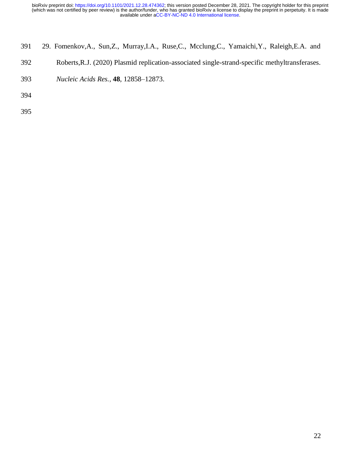- 29. Fomenkov,A., Sun,Z., Murray,I.A., Ruse,C., Mcclung,C., Yamaichi,Y., Raleigh,E.A. and
- Roberts,R.J. (2020) Plasmid replication-associated single-strand-specific methyltransferases.
- *Nucleic Acids Res.*, **48**, 12858–12873.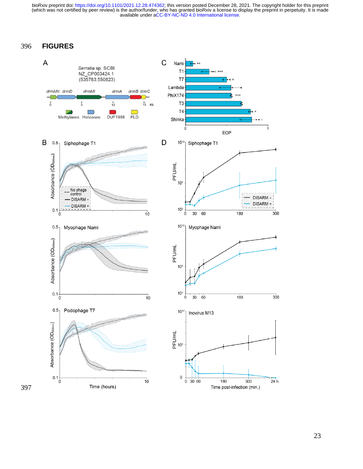#### 396 **FIGURES**



397

23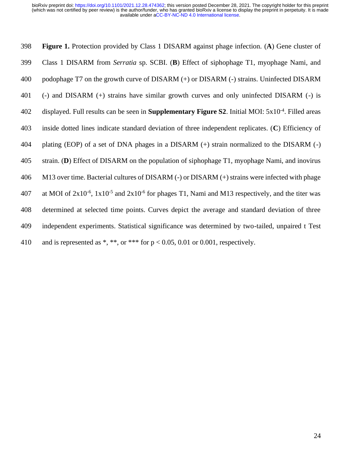**Figure 1.** Protection provided by Class 1 DISARM against phage infection. (**A**) Gene cluster of Class 1 DISARM from *Serratia* sp. SCBI. (**B**) Effect of siphophage T1, myophage Nami, and podophage T7 on the growth curve of DISARM (+) or DISARM (-) strains. Uninfected DISARM (-) and DISARM (+) strains have similar growth curves and only uninfected DISARM (-) is displayed. Full results can be seen in **Supplementary Figure S2**. Initial MOI: 5x10<sup>-4</sup>. Filled areas inside dotted lines indicate standard deviation of three independent replicates. (**C**) Efficiency of plating (EOP) of a set of DNA phages in a DISARM (+) strain normalized to the DISARM (-) strain. (**D**) Effect of DISARM on the population of siphophage T1, myophage Nami, and inovirus M13 over time. Bacterial cultures of DISARM (-) or DISARM (+) strains were infected with phage 407 at MOI of  $2x10^{-6}$ ,  $1x10^{-5}$  and  $2x10^{-6}$  for phages T1, Nami and M13 respectively, and the titer was determined at selected time points. Curves depict the average and standard deviation of three independent experiments. Statistical significance was determined by two-tailed, unpaired t Test 410 and is represented as \*, \*\*, or \*\*\* for  $p < 0.05$ , 0.01 or 0.001, respectively.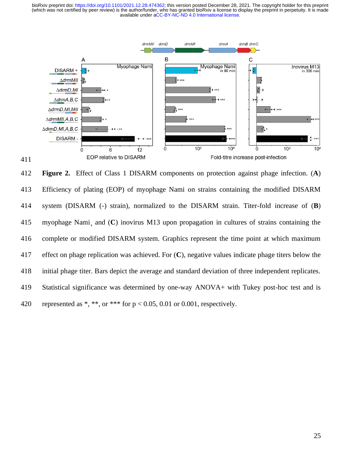

 **Figure 2.** Effect of Class 1 DISARM components on protection against phage infection. (**A**) Efficiency of plating (EOP) of myophage Nami on strains containing the modified DISARM system (DISARM (-) strain), normalized to the DISARM strain. Titer-fold increase of (**B**) myophage Nami¸ and (**C**) inovirus M13 upon propagation in cultures of strains containing the complete or modified DISARM system. Graphics represent the time point at which maximum effect on phage replication was achieved. For (**C**), negative values indicate phage titers below the initial phage titer. Bars depict the average and standard deviation of three independent replicates. Statistical significance was determined by one-way ANOVA+ with Tukey post-hoc test and is 420 represented as \*, \*\*, or \*\*\* for  $p < 0.05$ , 0.01 or 0.001, respectively.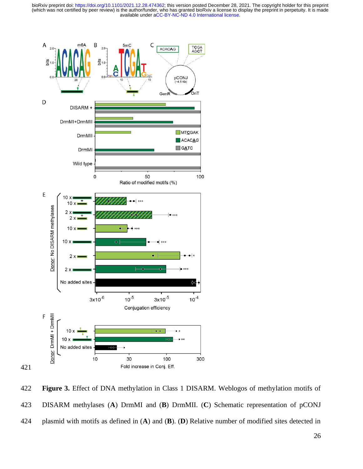

 **Figure 3.** Effect of DNA methylation in Class 1 DISARM. Weblogos of methylation motifs of DISARM methylases (**A**) DrmMI and (**B**) DrmMII. (**C**) Schematic representation of pCONJ plasmid with motifs as defined in (**A**) and (**B**). (**D**) Relative number of modified sites detected in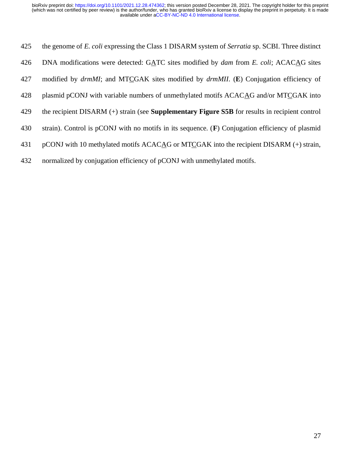| 425 | the genome of E. coli expressing the Class 1 DISARM system of Serratia sp. SCBI. Three distinct         |
|-----|---------------------------------------------------------------------------------------------------------|
| 426 | DNA modifications were detected: GATC sites modified by <i>dam</i> from <i>E. coli</i> ; ACACAG sites   |
| 427 | modified by <i>drmMI</i> ; and MTCGAK sites modified by <i>drmMII</i> . (E) Conjugation efficiency of   |
| 428 | plasmid pCONJ with variable numbers of unmethylated motifs ACACAG and/or MTCGAK into                    |
| 429 | the recipient DISARM $(+)$ strain (see <b>Supplementary Figure S5B</b> for results in recipient control |
| 430 | strain). Control is pCONJ with no motifs in its sequence. $(F)$ Conjugation efficiency of plasmid       |
| 431 | pCONJ with 10 methylated motifs ACACAG or MTCGAK into the recipient DISARM (+) strain,                  |
|     |                                                                                                         |

432 normalized by conjugation efficiency of pCONJ with unmethylated motifs.